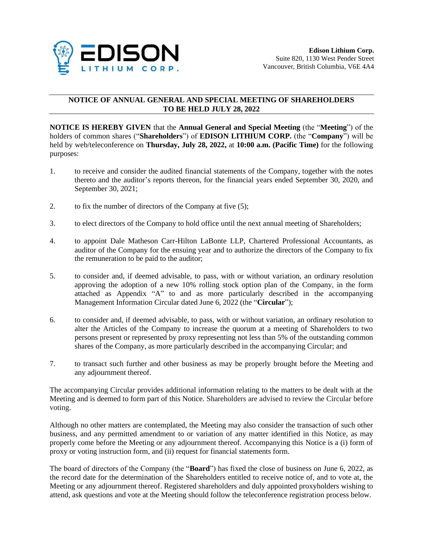

## **NOTICE OF ANNUAL GENERAL AND SPECIAL MEETING OF SHAREHOLDERS TO BE HELD JULY 28, 2022**

**NOTICE IS HEREBY GIVEN** that the **Annual General and Special Meeting** (the "**Meeting**") of the holders of common shares ("**Shareholders**") of **EDISON LITHIUM CORP.** (the "**Company**") will be held by web/teleconference on **Thursday, July 28, 2022,** at **10:00 a.m. (Pacific Time)** for the following purposes:

- 1. to receive and consider the audited financial statements of the Company, together with the notes thereto and the auditor's reports thereon, for the financial years ended September 30, 2020, and September 30, 2021;
- 2. to fix the number of directors of the Company at five (5);
- 3. to elect directors of the Company to hold office until the next annual meeting of Shareholders;
- 4. to appoint Dale Matheson Carr-Hilton LaBonte LLP, Chartered Professional Accountants, as auditor of the Company for the ensuing year and to authorize the directors of the Company to fix the remuneration to be paid to the auditor;
- 5. to consider and, if deemed advisable, to pass, with or without variation, an ordinary resolution approving the adoption of a new 10% rolling stock option plan of the Company, in the form attached as Appendix "A" to and as more particularly described in the accompanying Management Information Circular dated June 6, 2022 (the "**Circular**");
- 6. to consider and, if deemed advisable, to pass, with or without variation, an ordinary resolution to alter the Articles of the Company to increase the quorum at a meeting of Shareholders to two persons present or represented by proxy representing not less than 5% of the outstanding common shares of the Company, as more particularly described in the accompanying Circular; and
- 7. to transact such further and other business as may be properly brought before the Meeting and any adjournment thereof.

The accompanying Circular provides additional information relating to the matters to be dealt with at the Meeting and is deemed to form part of this Notice. Shareholders are advised to review the Circular before voting.

Although no other matters are contemplated, the Meeting may also consider the transaction of such other business, and any permitted amendment to or variation of any matter identified in this Notice, as may properly come before the Meeting or any adjournment thereof. Accompanying this Notice is a (i) form of proxy or voting instruction form, and (ii) request for financial statements form.

The board of directors of the Company (the "**Board**") has fixed the close of business on June 6, 2022, as the record date for the determination of the Shareholders entitled to receive notice of, and to vote at, the Meeting or any adjournment thereof. Registered shareholders and duly appointed proxyholders wishing to attend, ask questions and vote at the Meeting should follow the teleconference registration process below.